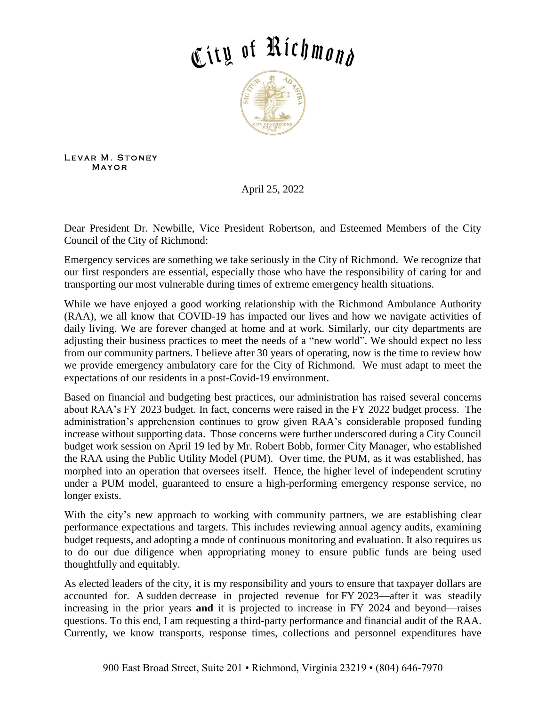## City of Richmond



LEVAR M. STONEY **MAYOR** 

April 25, 2022

Dear President Dr. Newbille, Vice President Robertson, and Esteemed Members of the City Council of the City of Richmond:

Emergency services are something we take seriously in the City of Richmond. We recognize that our first responders are essential, especially those who have the responsibility of caring for and transporting our most vulnerable during times of extreme emergency health situations.

While we have enjoyed a good working relationship with the Richmond Ambulance Authority (RAA), we all know that COVID-19 has impacted our lives and how we navigate activities of daily living. We are forever changed at home and at work. Similarly, our city departments are adjusting their business practices to meet the needs of a "new world". We should expect no less from our community partners. I believe after 30 years of operating, now is the time to review how we provide emergency ambulatory care for the City of Richmond. We must adapt to meet the expectations of our residents in a post-Covid-19 environment.

Based on financial and budgeting best practices, our administration has raised several concerns about RAA's FY 2023 budget. In fact, concerns were raised in the FY 2022 budget process. The administration's apprehension continues to grow given RAA's considerable proposed funding increase without supporting data. Those concerns were further underscored during a City Council budget work session on April 19 led by Mr. Robert Bobb, former City Manager, who established the RAA using the Public Utility Model (PUM). Over time, the PUM, as it was established, has morphed into an operation that oversees itself. Hence, the higher level of independent scrutiny under a PUM model, guaranteed to ensure a high-performing emergency response service, no longer exists.

With the city's new approach to working with community partners, we are establishing clear performance expectations and targets. This includes reviewing annual agency audits, examining budget requests, and adopting a mode of continuous monitoring and evaluation. It also requires us to do our due diligence when appropriating money to ensure public funds are being used thoughtfully and equitably.

As elected leaders of the city, it is my responsibility and yours to ensure that taxpayer dollars are accounted for. A sudden decrease in projected revenue for FY 2023—after it was steadily increasing in the prior years **and** it is projected to increase in FY 2024 and beyond—raises questions. To this end, I am requesting a third-party performance and financial audit of the RAA. Currently, we know transports, response times, collections and personnel expenditures have